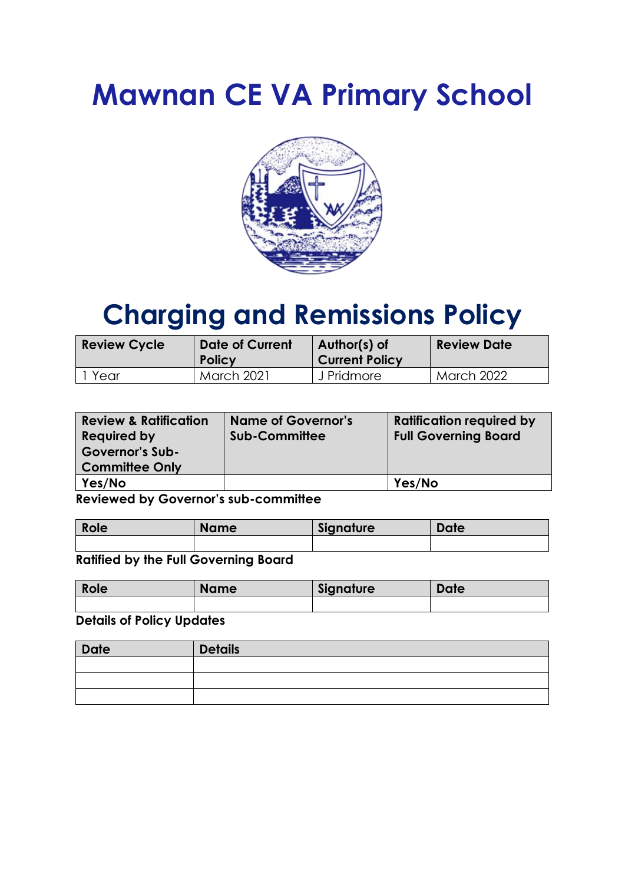# **Mawnan CE VA Primary School**



# **Charging and Remissions Policy**

| <b>Review Cycle</b> | <b>Date of Current</b><br><b>Policy</b> | Author(s) of<br><b>Current Policy</b> | <b>Review Date</b> |
|---------------------|-----------------------------------------|---------------------------------------|--------------------|
| Year                | <b>March 2021</b>                       | J Pridmore                            | <b>March 2022</b>  |

| <b>Review &amp; Ratification</b> | <b>Name of Governor's</b> | <b>Ratification required by</b> |
|----------------------------------|---------------------------|---------------------------------|
| <b>Required by</b>               | <b>Sub-Committee</b>      | <b>Full Governing Board</b>     |
| <b>Governor's Sub-</b>           |                           |                                 |
| <b>Committee Only</b>            |                           |                                 |
| Yes/No                           |                           | Yes/No                          |

**Reviewed by Governor's sub-committee**

| Role | <b>Name</b> | Signature | <b>Date</b> |
|------|-------------|-----------|-------------|
|      |             |           |             |

**Ratified by the Full Governing Board**

| Role | <b>Name</b> | Signature | <b>Date</b> |
|------|-------------|-----------|-------------|
|      |             |           |             |

**Details of Policy Updates** 

| <b>Date</b> | <b>Details</b> |
|-------------|----------------|
|             |                |
|             |                |
|             |                |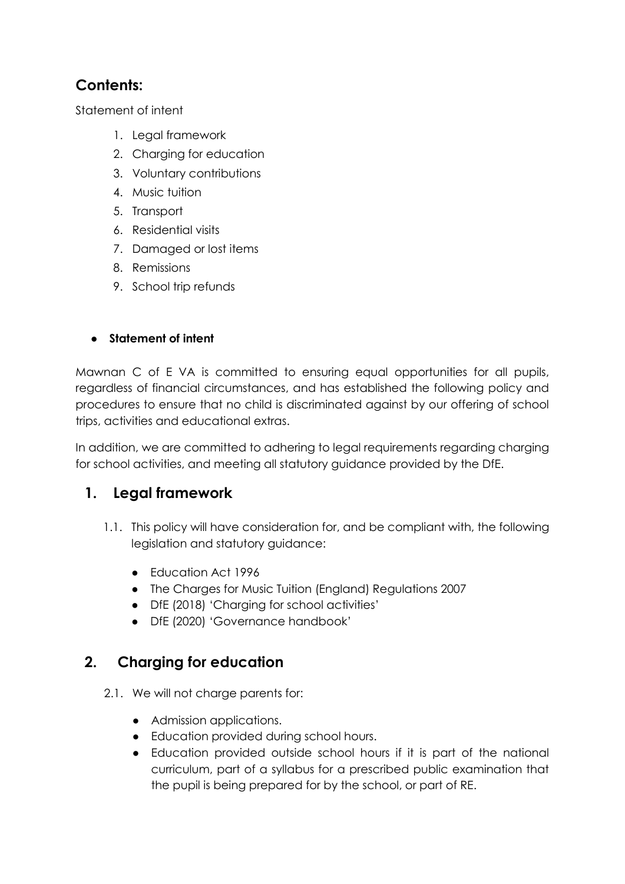### **Contents:**

[Statement of intent](#page-1-0)

- 1. [Legal framework](#page-1-1)
- 2. Charging for education
- 3. [Voluntary contributions](#page-2-0)
- 4. [Music tuition](#page-2-1)
- 5. [Transport](#page-2-2)
- 6. [Residential visits](#page-3-0)
- 7. [Damaged or lost items](#page-3-1)
- 8. [Remissions](#page-3-2)
- 9. [School trip refunds](#page-4-0)

#### <span id="page-1-0"></span>● **Statement of intent**

Mawnan C of E VA is committed to ensuring equal opportunities for all pupils, regardless of financial circumstances, and has established the following policy and procedures to ensure that no child is discriminated against by our offering of school trips, activities and educational extras.

In addition, we are committed to adhering to legal requirements regarding charging for school activities, and meeting all statutory guidance provided by the DfE.

#### <span id="page-1-1"></span>**1. Legal framework**

- 1.1. This policy will have consideration for, and be compliant with, the following legislation and statutory guidance:
	- Education Act 1996
	- The Charges for Music Tuition (England) Regulations 2007
	- DfE (2018) 'Charging for school activities'
	- DfE (2020) 'Governance handbook'

#### **2. Charging for education**

- 2.1. We will not charge parents for:
	- Admission applications.
	- Education provided during school hours.
	- Education provided outside school hours if it is part of the national curriculum, part of a syllabus for a prescribed public examination that the pupil is being prepared for by the school, or part of RE.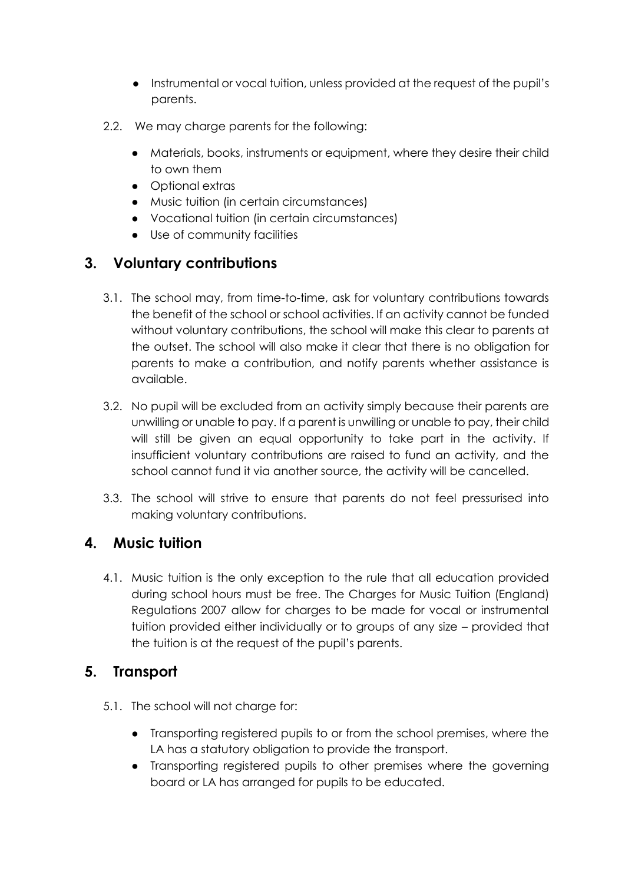- Instrumental or vocal tuition, unless provided at the request of the pupil's parents.
- 2.2. We may charge parents for the following:
	- Materials, books, instruments or equipment, where they desire their child to own them
	- Optional extras
	- [Music tuition](#page-2-1) (in certain circumstances)
	- Vocational tuition (in certain circumstances)
	- Use of community facilities

# <span id="page-2-0"></span>**3. Voluntary contributions**

- 3.1. The school may, from time-to-time, ask for voluntary contributions towards the benefit of the school or school activities. If an activity cannot be funded without voluntary contributions, the school will make this clear to parents at the outset. The school will also make it clear that there is no obligation for parents to make a contribution, and notify parents whether assistance is available.
- 3.2. No pupil will be excluded from an activity simply because their parents are unwilling or unable to pay. If a parent is unwilling or unable to pay, their child will still be given an equal opportunity to take part in the activity. If insufficient voluntary contributions are raised to fund an activity, and the school cannot fund it via another source, the activity will be cancelled.
- 3.3. The school will strive to ensure that parents do not feel pressurised into making voluntary contributions.

# <span id="page-2-1"></span>**4. Music tuition**

4.1. Music tuition is the only exception to the rule that all education provided during school hours must be free. The Charges for Music Tuition (England) Regulations 2007 allow for charges to be made for vocal or instrumental tuition provided either individually or to groups of any size – provided that the tuition is at the request of the pupil's parents.

#### <span id="page-2-2"></span>**5. Transport**

- 5.1. The school will not charge for:
	- Transporting registered pupils to or from the school premises, where the LA has a statutory obligation to provide the transport.
	- Transporting registered pupils to other premises where the governing board or LA has arranged for pupils to be educated.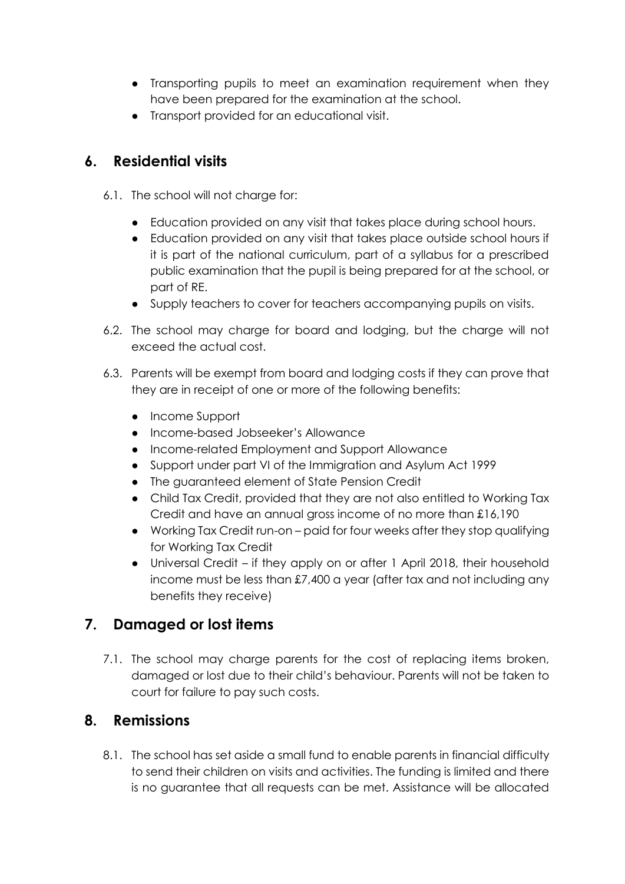- Transporting pupils to meet an examination requirement when they have been prepared for the examination at the school.
- Transport provided for an educational visit.

#### <span id="page-3-0"></span>**6. Residential visits**

- 6.1. The school will not charge for:
	- Education provided on any visit that takes place during school hours.
	- Education provided on any visit that takes place outside school hours if it is part of the national curriculum, part of a syllabus for a prescribed public examination that the pupil is being prepared for at the school, or part of RE.
	- Supply teachers to cover for teachers accompanying pupils on visits.
- 6.2. The school may charge for board and lodging, but the charge will not exceed the actual cost.
- 6.3. Parents will be exempt from board and lodging costs if they can prove that they are in receipt of one or more of the following benefits:
	- Income Support
	- Income-based Jobseeker's Allowance
	- Income-related Employment and Support Allowance
	- Support under part VI of the Immigration and Asylum Act 1999
	- The guaranteed element of State Pension Credit
	- Child Tax Credit, provided that they are not also entitled to Working Tax Credit and have an annual gross income of no more than £16,190
	- Working Tax Credit run-on paid for four weeks after they stop qualifying for Working Tax Credit
	- Universal Credit if they apply on or after 1 April 2018, their household income must be less than £7,400 a year (after tax and not including any benefits they receive)

#### <span id="page-3-1"></span>**7. Damaged or lost items**

7.1. The school may charge parents for the cost of replacing items broken, damaged or lost due to their child's behaviour. Parents will not be taken to court for failure to pay such costs.

#### <span id="page-3-2"></span>**8. Remissions**

8.1. The school has set aside a small fund to enable parents in financial difficulty to send their children on visits and activities. The funding is limited and there is no guarantee that all requests can be met. Assistance will be allocated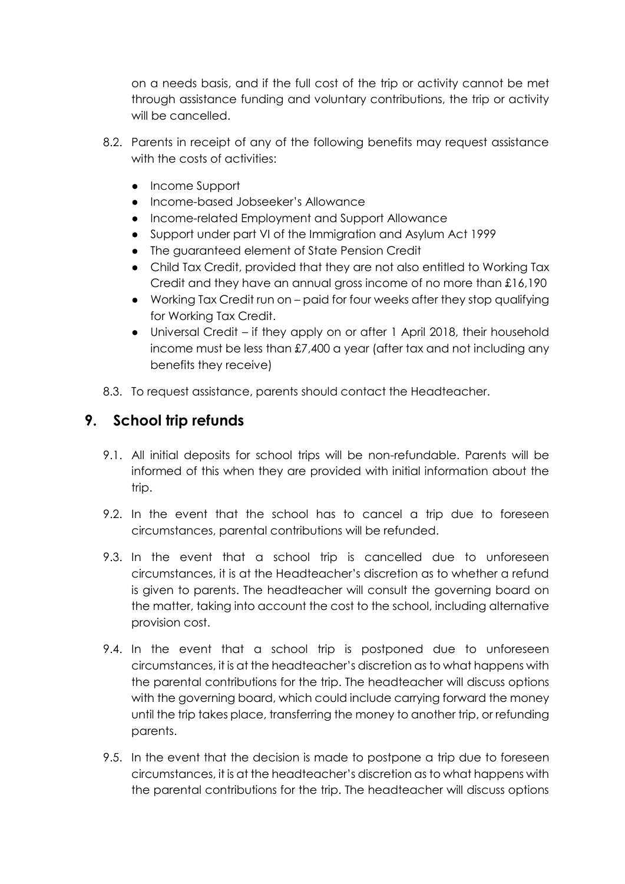on a needs basis, and if the full cost of the trip or activity cannot be met through assistance funding and voluntary contributions, the trip or activity will be cancelled.

- 8.2. Parents in receipt of any of the following benefits may request assistance with the costs of activities:
	- Income Support
	- Income-based Jobseeker's Allowance
	- Income-related Employment and Support Allowance
	- Support under part VI of the Immigration and Asylum Act 1999
	- The guaranteed element of State Pension Credit
	- Child Tax Credit, provided that they are not also entitled to Working Tax Credit and they have an annual gross income of no more than £16,190
	- Working Tax Credit run on paid for four weeks after they stop qualifying for Working Tax Credit.
	- Universal Credit if they apply on or after 1 April 2018, their household income must be less than £7,400 a year (after tax and not including any benefits they receive)
- 8.3. To request assistance, parents should contact the Headteacher.

#### <span id="page-4-0"></span>**9. School trip refunds**

- 9.1. All initial deposits for school trips will be non-refundable. Parents will be informed of this when they are provided with initial information about the trip.
- 9.2. In the event that the school has to cancel a trip due to foreseen circumstances, parental contributions will be refunded.
- 9.3. In the event that a school trip is cancelled due to unforeseen circumstances, it is at the Headteacher's discretion as to whether a refund is given to parents. The headteacher will consult the governing board on the matter, taking into account the cost to the school, including alternative provision cost.
- 9.4. In the event that a school trip is postponed due to unforeseen circumstances, it is at the headteacher's discretion as to what happens with the parental contributions for the trip. The headteacher will discuss options with the governing board, which could include carrying forward the money until the trip takes place, transferring the money to another trip, or refunding parents.
- 9.5. In the event that the decision is made to postpone a trip due to foreseen circumstances, it is at the headteacher's discretion as to what happens with the parental contributions for the trip. The headteacher will discuss options